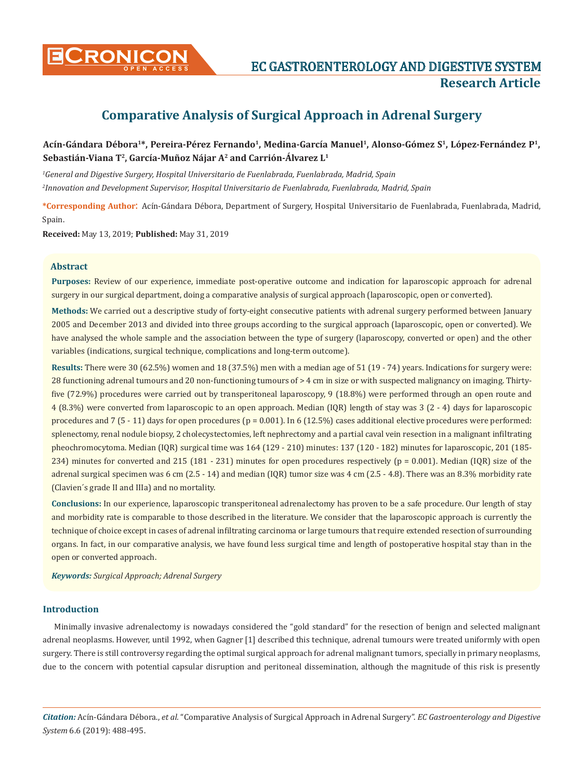

**Research Article**

# **Comparative Analysis of Surgical Approach in Adrenal Surgery**

Acín-Gándara Débora<sup>1\*</sup>, Pereira-Pérez Fernando<sup>1</sup>, Medina-García Manuel<sup>1</sup>, Alonso-Gómez S<sup>1</sup>, López-Fernández P<sup>1</sup>, **Sebastián-Viana T2, García-Muñoz Nájar A2 and Carrión-Álvarez L1**

*1 General and Digestive Surgery, Hospital Universitario de Fuenlabrada, Fuenlabrada, Madrid, Spain 2 Innovation and Development Supervisor, Hospital Universitario de Fuenlabrada, Fuenlabrada, Madrid, Spain*

**\*Corresponding Author**: Acín-Gándara Débora, Department of Surgery, Hospital Universitario de Fuenlabrada, Fuenlabrada, Madrid, Spain.

**Received:** May 13, 2019; **Published:** May 31, 2019

#### **Abstract**

**Purposes:** Review of our experience, immediate post-operative outcome and indication for laparoscopic approach for adrenal surgery in our surgical department, doing a comparative analysis of surgical approach (laparoscopic, open or converted).

**Methods:** We carried out a descriptive study of forty-eight consecutive patients with adrenal surgery performed between January 2005 and December 2013 and divided into three groups according to the surgical approach (laparoscopic, open or converted). We have analysed the whole sample and the association between the type of surgery (laparoscopy, converted or open) and the other variables (indications, surgical technique, complications and long-term outcome).

**Results:** There were 30 (62.5%) women and 18 (37.5%) men with a median age of 51 (19 - 74) years. Indications for surgery were: 28 functioning adrenal tumours and 20 non-functioning tumours of > 4 cm in size or with suspected malignancy on imaging. Thirtyfive (72.9%) procedures were carried out by transperitoneal laparoscopy, 9 (18.8%) were performed through an open route and 4 (8.3%) were converted from laparoscopic to an open approach. Median (IQR) length of stay was 3 (2 - 4) days for laparoscopic procedures and 7 (5 - 11) days for open procedures ( $p = 0.001$ ). In 6 (12.5%) cases additional elective procedures were performed: splenectomy, renal nodule biopsy, 2 cholecystectomies, left nephrectomy and a partial caval vein resection in a malignant infiltrating pheochromocytoma. Median (IQR) surgical time was 164 (129 - 210) minutes: 137 (120 - 182) minutes for laparoscopic, 201 (185- 234) minutes for converted and 215 (181 - 231) minutes for open procedures respectively ( $p = 0.001$ ). Median (IQR) size of the adrenal surgical specimen was 6 cm (2.5 - 14) and median (IQR) tumor size was 4 cm (2.5 - 4.8). There was an 8.3% morbidity rate (Clavien´s grade II and IIIa) and no mortality.

**Conclusions:** In our experience, laparoscopic transperitoneal adrenalectomy has proven to be a safe procedure. Our length of stay and morbidity rate is comparable to those described in the literature. We consider that the laparoscopic approach is currently the technique of choice except in cases of adrenal infiltrating carcinoma or large tumours that require extended resection of surrounding organs. In fact, in our comparative analysis, we have found less surgical time and length of postoperative hospital stay than in the open or converted approach.

*Keywords: Surgical Approach; Adrenal Surgery*

# **Introduction**

Minimally invasive adrenalectomy is nowadays considered the "gold standard" for the resection of benign and selected malignant adrenal neoplasms. However, until 1992, when Gagner [1] described this technique, adrenal tumours were treated uniformly with open surgery. There is still controversy regarding the optimal surgical approach for adrenal malignant tumors, specially in primary neoplasms, due to the concern with potential capsular disruption and peritoneal dissemination, although the magnitude of this risk is presently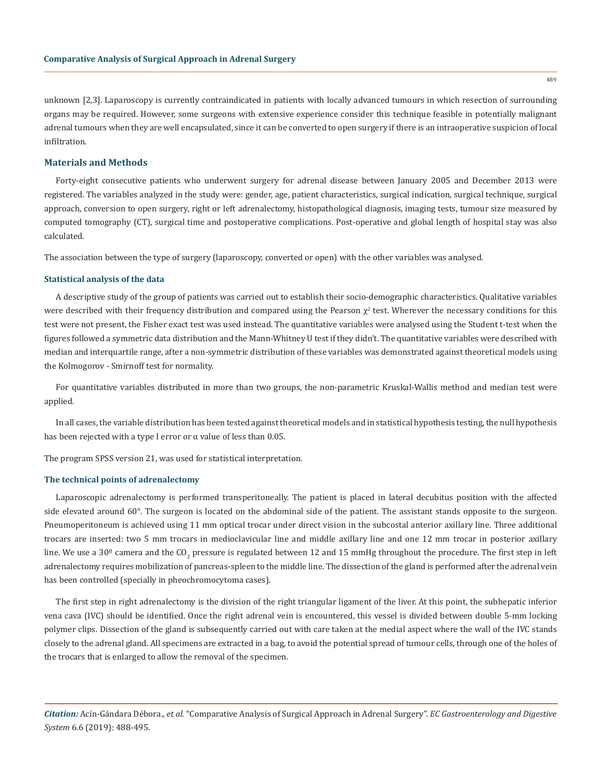unknown [2,3]. Laparoscopy is currently contraindicated in patients with locally advanced tumours in which resection of surrounding organs may be required. However, some surgeons with extensive experience consider this technique feasible in potentially malignant adrenal tumours when they are well encapsulated, since it can be converted to open surgery if there is an intraoperative suspicion of local infiltration.

# **Materials and Methods**

Forty-eight consecutive patients who underwent surgery for adrenal disease between January 2005 and December 2013 were registered. The variables analyzed in the study were: gender, age, patient characteristics, surgical indication, surgical technique, surgical approach, conversion to open surgery, right or left adrenalectomy, histopathological diagnosis, imaging tests, tumour size measured by computed tomography (CT), surgical time and postoperative complications. Post-operative and global length of hospital stay was also calculated.

The association between the type of surgery (laparoscopy, converted or open) with the other variables was analysed.

#### **Statistical analysis of the data**

A descriptive study of the group of patients was carried out to establish their socio-demographic characteristics. Qualitative variables were described with their frequency distribution and compared using the Pearson  $\chi^2$  test. Wherever the necessary conditions for this test were not present, the Fisher exact test was used instead. The quantitative variables were analysed using the Student t-test when the figures followed a symmetric data distribution and the Mann-Whitney U test if they didn't. The quantitative variables were described with median and interquartile range, after a non-symmetric distribution of these variables was demonstrated against theoretical models using the Kolmogorov - Smirnoff test for normality.

For quantitative variables distributed in more than two groups, the non-parametric Kruskal-Wallis method and median test were applied.

In all cases, the variable distribution has been tested against theoretical models and in statistical hypothesis testing, the null hypothesis has been rejected with a type I error or  $\alpha$  value of less than 0.05.

The program SPSS version 21, was used for statistical interpretation.

#### **The technical points of adrenalectomy**

Laparoscopic adrenalectomy is performed transperitoneally. The patient is placed in lateral decubitus position with the affected side elevated around 60°. The surgeon is located on the abdominal side of the patient. The assistant stands opposite to the surgeon. Pneumoperitoneum is achieved using 11 mm optical trocar under direct vision in the subcostal anterior axillary line. Three additional trocars are inserted: two 5 mm trocars in medioclavicular line and middle axillary line and one 12 mm trocar in posterior axillary line. We use a 30º camera and the CO<sub>2</sub> pressure is regulated between 12 and 15 mmHg throughout the procedure. The first step in left adrenalectomy requires mobilization of pancreas-spleen to the middle line. The dissection of the gland is performed after the adrenal vein has been controlled (specially in pheochromocytoma cases).

The first step in right adrenalectomy is the division of the right triangular ligament of the liver. At this point, the subhepatic inferior vena cava (IVC) should be identified. Once the right adrenal vein is encountered, this vessel is divided between double 5-mm locking polymer clips. Dissection of the gland is subsequently carried out with care taken at the medial aspect where the wall of the IVC stands closely to the adrenal gland. All specimens are extracted in a bag, to avoid the potential spread of tumour cells, through one of the holes of the trocars that is enlarged to allow the removal of the specimen.

*Citation:* Acín-Gándara Débora., *et al.* "Comparative Analysis of Surgical Approach in Adrenal Surgery". *EC Gastroenterology and Digestive System* 6.6 (2019): 488-495.

489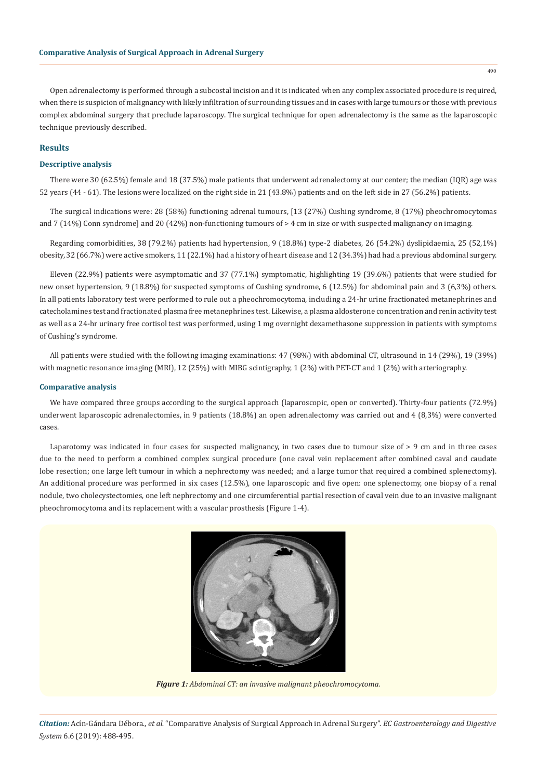Open adrenalectomy is performed through a subcostal incision and it is indicated when any complex associated procedure is required, when there is suspicion of malignancy with likely infiltration of surrounding tissues and in cases with large tumours or those with previous complex abdominal surgery that preclude laparoscopy. The surgical technique for open adrenalectomy is the same as the laparoscopic technique previously described.

# **Results**

### **Descriptive analysis**

There were 30 (62.5%) female and 18 (37.5%) male patients that underwent adrenalectomy at our center; the median (IQR) age was 52 years (44 - 61). The lesions were localized on the right side in 21 (43.8%) patients and on the left side in 27 (56.2%) patients.

The surgical indications were: 28 (58%) functioning adrenal tumours, [13 (27%) Cushing syndrome, 8 (17%) pheochromocytomas and 7 (14%) Conn syndrome] and 20 (42%) non-functioning tumours of > 4 cm in size or with suspected malignancy on imaging.

Regarding comorbidities, 38 (79.2%) patients had hypertension, 9 (18.8%) type-2 diabetes, 26 (54.2%) dyslipidaemia, 25 (52,1%) obesity, 32 (66.7%) were active smokers, 11 (22.1%) had a history of heart disease and 12 (34.3%) had had a previous abdominal surgery.

Eleven (22.9%) patients were asymptomatic and 37 (77.1%) symptomatic, highlighting 19 (39.6%) patients that were studied for new onset hypertension, 9 (18.8%) for suspected symptoms of Cushing syndrome, 6 (12.5%) for abdominal pain and 3 (6,3%) others. In all patients laboratory test were performed to rule out a pheochromocytoma, including a 24-hr urine fractionated metanephrines and catecholamines test and fractionated plasma free metanephrines test. Likewise, a plasma aldosterone concentration and renin activity test as well as a 24-hr urinary free cortisol test was performed, using 1 mg overnight dexamethasone suppression in patients with symptoms of Cushing's syndrome.

All patients were studied with the following imaging examinations: 47 (98%) with abdominal CT, ultrasound in 14 (29%), 19 (39%) with magnetic resonance imaging (MRI), 12 (25%) with MIBG scintigraphy, 1 (2%) with PET-CT and 1 (2%) with arteriography.

#### **Comparative analysis**

We have compared three groups according to the surgical approach (laparoscopic, open or converted). Thirty-four patients (72.9%) underwent laparoscopic adrenalectomies, in 9 patients (18.8%) an open adrenalectomy was carried out and 4 (8,3%) were converted cases.

Laparotomy was indicated in four cases for suspected malignancy, in two cases due to tumour size of  $> 9$  cm and in three cases due to the need to perform a combined complex surgical procedure (one caval vein replacement after combined caval and caudate lobe resection; one large left tumour in which a nephrectomy was needed; and a large tumor that required a combined splenectomy). An additional procedure was performed in six cases (12.5%), one laparoscopic and five open: one splenectomy, one biopsy of a renal nodule, two cholecystectomies, one left nephrectomy and one circumferential partial resection of caval vein due to an invasive malignant pheochromocytoma and its replacement with a vascular prosthesis (Figure 1-4).



*Figure 1: Abdominal CT: an invasive malignant pheochromocytoma.*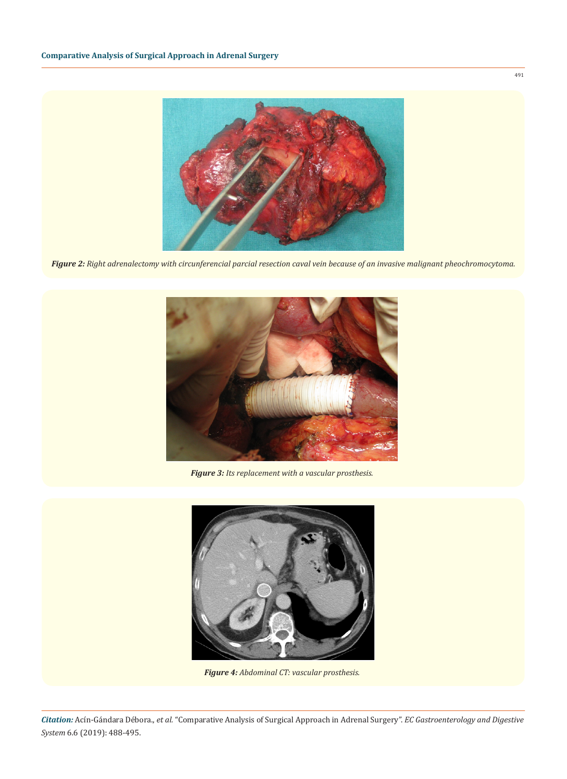

*Figure 2: Right adrenalectomy with circunferencial parcial resection caval vein because of an invasive malignant pheochromocytoma.*



*Figure 3: Its replacement with a vascular prosthesis.*



*Figure 4: Abdominal CT: vascular prosthesis.*

491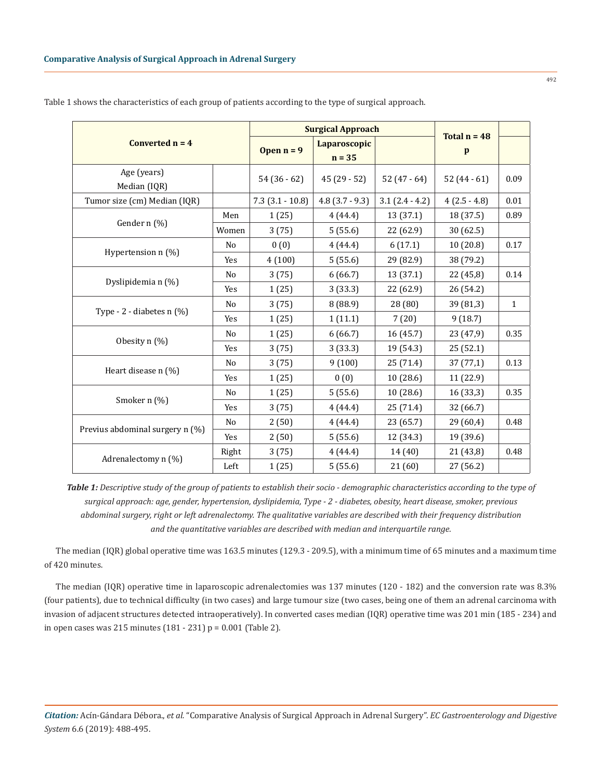492

| Converted $n = 4$               |                | <b>Surgical Approach</b> | Total $n = 48$           |                  |                |              |
|---------------------------------|----------------|--------------------------|--------------------------|------------------|----------------|--------------|
|                                 |                | Open $n = 9$             | Laparoscopic<br>$n = 35$ |                  | p              |              |
| Age (years)<br>Median (IQR)     |                | $54(36-62)$              | $45(29-52)$              | 52 $(47 - 64)$   | $52(44-61)$    | 0.09         |
| Tumor size (cm) Median (IQR)    |                | $7.3(3.1-10.8)$          | $4.8$ (3.7 - 9.3)        | $3.1(2.4 - 4.2)$ | $4(2.5 - 4.8)$ | 0.01         |
| Gender n (%)                    | Men            | 1(25)                    | 4(44.4)                  | 13 (37.1)        | 18 (37.5)      | 0.89         |
|                                 | Women          | 3(75)                    | 5(55.6)                  | 22 (62.9)        | 30(62.5)       |              |
| Hypertension n (%)              | No             | 0(0)                     | 4(44.4)                  | 6(17.1)          | 10(20.8)       | 0.17         |
|                                 | Yes            | 4(100)                   | 5(55.6)                  | 29 (82.9)        | 38 (79.2)      |              |
| Dyslipidemia n (%)              | No             | 3(75)                    | 6(66.7)                  | 13 (37.1)        | 22 (45,8)      | 0.14         |
|                                 | Yes            | 1(25)                    | 3(33.3)                  | 22 (62.9)        | 26 (54.2)      |              |
| Type - $2$ - diabetes $n$ (%)   | N <sub>0</sub> | 3(75)                    | 8(88.9)                  | 28 (80)          | 39 (81,3)      | $\mathbf{1}$ |
|                                 | Yes            | 1(25)                    | 1(11.1)                  | 7(20)            | 9(18.7)        |              |
| Obesity n (%)                   | No             | 1(25)                    | 6(66.7)                  | 16(45.7)         | 23 (47,9)      | 0.35         |
|                                 | Yes            | 3(75)                    | 3(33.3)                  | 19 (54.3)        | 25 (52.1)      |              |
| Heart disease n (%)             | No             | 3(75)                    | 9(100)                   | 25 (71.4)        | 37(77,1)       | 0.13         |
|                                 | Yes            | 1(25)                    | 0(0)                     | 10(28.6)         | 11 (22.9)      |              |
| Smoker n (%)                    | No             | 1(25)                    | 5(55.6)                  | 10(28.6)         | 16 (33,3)      | 0.35         |
|                                 | Yes            | 3(75)                    | 4(44.4)                  | 25 (71.4)        | 32 (66.7)      |              |
| Previus abdominal surgery n (%) | No             | 2(50)                    | 4(44.4)                  | 23 (65.7)        | 29 (60,4)      | 0.48         |
|                                 | Yes            | 2(50)                    | 5(55.6)                  | 12 (34.3)        | 19 (39.6)      |              |
| Adrenalectomy n (%)             | Right          | 3(75)                    | 4(44.4)                  | 14 (40)          | 21 (43,8)      | 0.48         |
|                                 | Left           | 1(25)                    | 5(55.6)                  | 21 (60)          | 27 (56.2)      |              |

Table 1 shows the characteristics of each group of patients according to the type of surgical approach.

*Table 1: Descriptive study of the group of patients to establish their socio - demographic characteristics according to the type of surgical approach: age, gender, hypertension, dyslipidemia, Type - 2 - diabetes, obesity, heart disease, smoker, previous abdominal surgery, right or left adrenalectomy. The qualitative variables are described with their frequency distribution and the quantitative variables are described with median and interquartile range.*

The median (IQR) global operative time was 163.5 minutes (129.3 - 209.5), with a minimum time of 65 minutes and a maximum time of 420 minutes.

The median (IQR) operative time in laparoscopic adrenalectomies was 137 minutes (120 - 182) and the conversion rate was 8.3% (four patients), due to technical difficulty (in two cases) and large tumour size (two cases, being one of them an adrenal carcinoma with invasion of adjacent structures detected intraoperatively). In converted cases median (IQR) operative time was 201 min (185 - 234) and in open cases was 215 minutes (181 - 231) p = 0.001 (Table 2).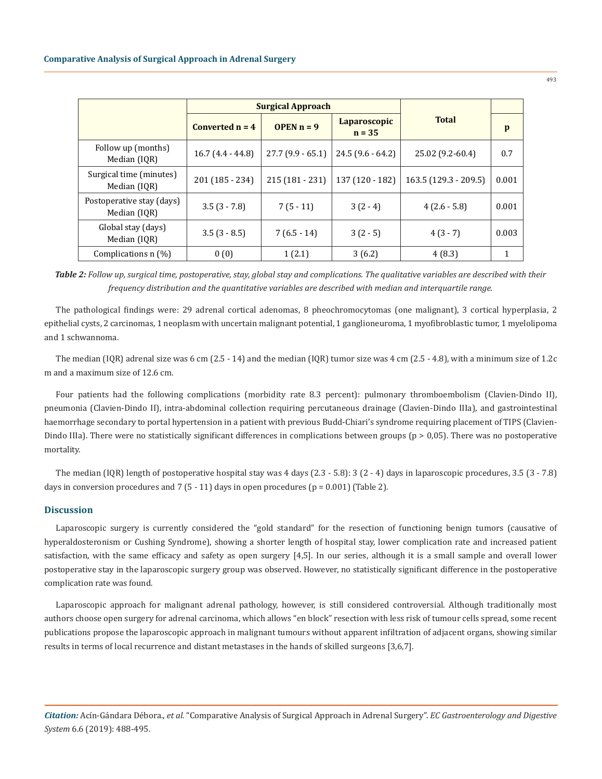|                                           |                    | <b>Surgical Approach</b> |                          |                       |       |
|-------------------------------------------|--------------------|--------------------------|--------------------------|-----------------------|-------|
|                                           | Converted $n = 4$  | <b>OPEN</b> $n = 9$      | Laparoscopic<br>$n = 35$ | <b>Total</b>          | p     |
| Follow up (months)<br>Median (IOR)        | $16.7(4.4 - 44.8)$ | $27.7(9.9 - 65.1)$       | $24.5(9.6 - 64.2)$       | 25.02 (9.2-60.4)      | 0.7   |
| Surgical time (minutes)<br>Median (IOR)   | 201 (185 - 234)    | $215(181 - 231)$         | 137 (120 - 182)          | 163.5 (129.3 - 209.5) | 0.001 |
| Postoperative stay (days)<br>Median (IOR) | $3.5(3 - 7.8)$     | $7(5-11)$                | $3(2-4)$                 | $4(2.6-5.8)$          | 0.001 |
| Global stay (days)<br>Median (IQR)        | $3.5(3 - 8.5)$     | $7(6.5-14)$              | $3(2-5)$                 | $4(3-7)$              | 0.003 |
| Complications $n$ (%)                     | 0(0)               | 1(2.1)                   | 3(6.2)                   | 4(8.3)                |       |

*Table 2: Follow up, surgical time, postoperative, stay, global stay and complications. The qualitative variables are described with their frequency distribution and the quantitative variables are described with median and interquartile range.*

The pathological findings were: 29 adrenal cortical adenomas, 8 pheochromocytomas (one malignant), 3 cortical hyperplasia, 2 epithelial cysts, 2 carcinomas, 1 neoplasm with uncertain malignant potential, 1 ganglioneuroma, 1 myofibroblastic tumor, 1 myelolipoma and 1 schwannoma.

The median (IQR) adrenal size was 6 cm (2.5 - 14) and the median (IQR) tumor size was 4 cm (2.5 - 4.8), with a minimum size of 1.2c m and a maximum size of 12.6 cm.

Four patients had the following complications (morbidity rate 8.3 percent): pulmonary thromboembolism (Clavien-Dindo II), pneumonia (Clavien-Dindo II), intra-abdominal collection requiring percutaneous drainage (Clavien-Dindo IIIa), and gastrointestinal haemorrhage secondary to portal hypertension in a patient with previous Budd-Chiari's syndrome requiring placement of TIPS (Clavien-Dindo IIIa). There were no statistically significant differences in complications between groups (p > 0,05). There was no postoperative mortality.

The median (IQR) length of postoperative hospital stay was 4 days (2.3 - 5.8): 3 (2 - 4) days in laparoscopic procedures, 3.5 (3 - 7.8) days in conversion procedures and 7 (5 - 11) days in open procedures ( $p = 0.001$ ) (Table 2).

#### **Discussion**

Laparoscopic surgery is currently considered the "gold standard" for the resection of functioning benign tumors (causative of hyperaldosteronism or Cushing Syndrome), showing a shorter length of hospital stay, lower complication rate and increased patient satisfaction, with the same efficacy and safety as open surgery [4,5]. In our series, although it is a small sample and overall lower postoperative stay in the laparoscopic surgery group was observed. However, no statistically significant difference in the postoperative complication rate was found.

Laparoscopic approach for malignant adrenal pathology, however, is still considered controversial. Although traditionally most authors choose open surgery for adrenal carcinoma, which allows "en block" resection with less risk of tumour cells spread, some recent publications propose the laparoscopic approach in malignant tumours without apparent infiltration of adjacent organs, showing similar results in terms of local recurrence and distant metastases in the hands of skilled surgeons [3,6,7].

*Citation:* Acín-Gándara Débora., *et al.* "Comparative Analysis of Surgical Approach in Adrenal Surgery". *EC Gastroenterology and Digestive System* 6.6 (2019): 488-495.

493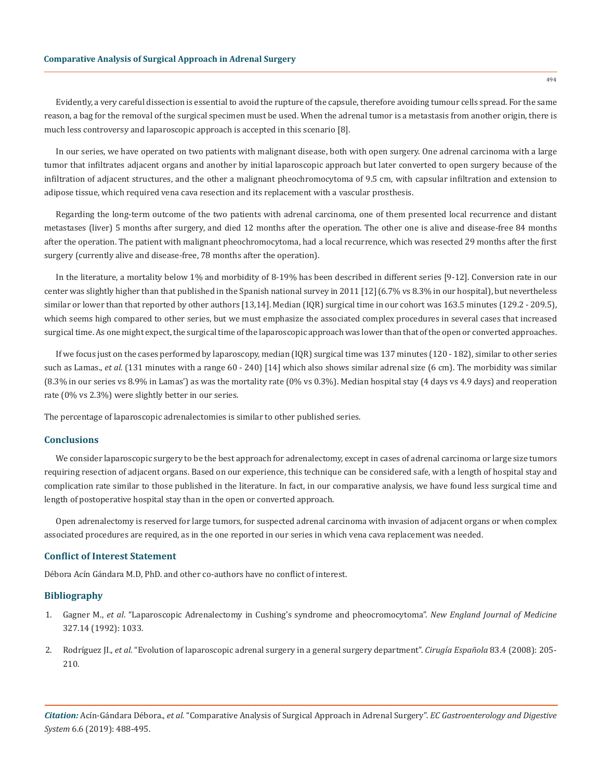Evidently, a very careful dissection is essential to avoid the rupture of the capsule, therefore avoiding tumour cells spread. For the same reason, a bag for the removal of the surgical specimen must be used. When the adrenal tumor is a metastasis from another origin, there is much less controversy and laparoscopic approach is accepted in this scenario [8].

In our series, we have operated on two patients with malignant disease, both with open surgery. One adrenal carcinoma with a large tumor that infiltrates adjacent organs and another by initial laparoscopic approach but later converted to open surgery because of the infiltration of adjacent structures, and the other a malignant pheochromocytoma of 9.5 cm, with capsular infiltration and extension to adipose tissue, which required vena cava resection and its replacement with a vascular prosthesis.

Regarding the long-term outcome of the two patients with adrenal carcinoma, one of them presented local recurrence and distant metastases (liver) 5 months after surgery, and died 12 months after the operation. The other one is alive and disease-free 84 months after the operation. The patient with malignant pheochromocytoma, had a local recurrence, which was resected 29 months after the first surgery (currently alive and disease-free, 78 months after the operation).

In the literature, a mortality below 1% and morbidity of 8-19% has been described in different series [9-12]. Conversion rate in our center was slightly higher than that published in the Spanish national survey in 2011 [12](6.7% vs 8.3% in our hospital), but nevertheless similar or lower than that reported by other authors [13,14]. Median (IQR) surgical time in our cohort was 163.5 minutes (129.2 - 209.5), which seems high compared to other series, but we must emphasize the associated complex procedures in several cases that increased surgical time. As one might expect, the surgical time of the laparoscopic approach was lower than that of the open or converted approaches.

If we focus just on the cases performed by laparoscopy, median (IQR) surgical time was 137 minutes (120 - 182), similar to other series such as Lamas., et al. (131 minutes with a range 60 - 240) [14] which also shows similar adrenal size (6 cm). The morbidity was similar (8.3% in our series vs 8.9% in Lamas') as was the mortality rate (0% vs 0.3%). Median hospital stay (4 days vs 4.9 days) and reoperation rate (0% vs 2.3%) were slightly better in our series.

The percentage of laparoscopic adrenalectomies is similar to other published series.

#### **Conclusions**

We consider laparoscopic surgery to be the best approach for adrenalectomy, except in cases of adrenal carcinoma or large size tumors requiring resection of adjacent organs. Based on our experience, this technique can be considered safe, with a length of hospital stay and complication rate similar to those published in the literature. In fact, in our comparative analysis, we have found less surgical time and length of postoperative hospital stay than in the open or converted approach.

Open adrenalectomy is reserved for large tumors, for suspected adrenal carcinoma with invasion of adjacent organs or when complex associated procedures are required, as in the one reported in our series in which vena cava replacement was needed.

# **Conflict of Interest Statement**

Débora Acín Gándara M.D, PhD. and other co-authors have no conflict of interest.

## **Bibliography**

- 1. Gagner M., *et al*[. "Laparoscopic Adrenalectomy in Cushing's syndrome and pheocromocytoma".](https://www.ncbi.nlm.nih.gov/pubmed/1387700) *New England Journal of Medicine*  [327.14 \(1992\): 1033.](https://www.ncbi.nlm.nih.gov/pubmed/1387700)
- 2. Rodríguez JI., *et al*[. "Evolution of laparoscopic adrenal surgery in a general surgery department".](https://www.ncbi.nlm.nih.gov/pubmed/18358181) *Cirugía Española* 83.4 (2008): 205- [210.](https://www.ncbi.nlm.nih.gov/pubmed/18358181)